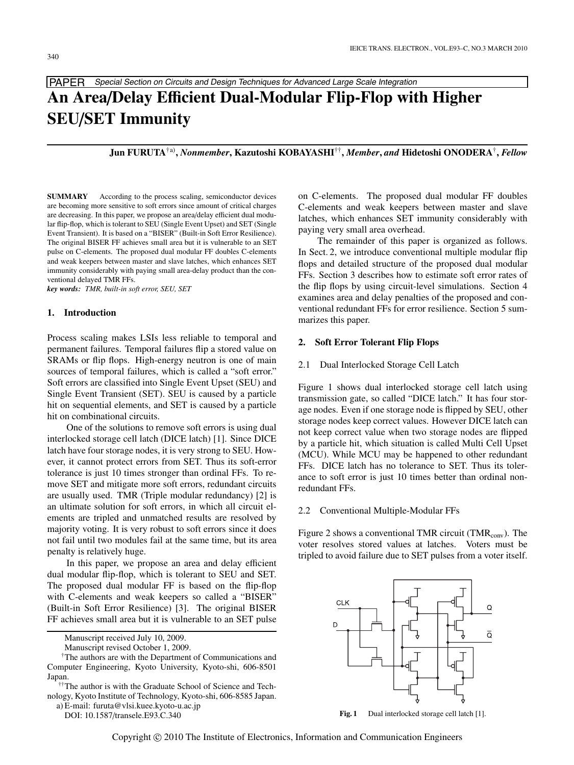PAPER Special Section on Circuits and Design Techniques for Advanced Large Scale Integration

# **An Area**/**Delay E**ffi**cient Dual-Modular Flip-Flop with Higher SEU**/**SET Immunity**

**Jun FURUTA**†a)**,** *Nonmember***, Kazutoshi KOBAYASHI**††**,** *Member***,** *and* **Hidetoshi ONODERA**†**,** *Fellow*

**SUMMARY** According to the process scaling, semiconductor devices are becoming more sensitive to soft errors since amount of critical charges are decreasing. In this paper, we propose an area/delay efficient dual modular flip-flop, which is tolerant to SEU (Single Event Upset) and SET (Single Event Transient). It is based on a "BISER" (Built-in Soft Error Resilience). The original BISER FF achieves small area but it is vulnerable to an SET pulse on C-elements. The proposed dual modular FF doubles C-elements and weak keepers between master and slave latches, which enhances SET immunity considerably with paying small area-delay product than the conventional delayed TMR FFs.

*key words: TMR, built-in soft error, SEU, SET*

# **1. Introduction**

Process scaling makes LSIs less reliable to temporal and permanent failures. Temporal failures flip a stored value on SRAMs or flip flops. High-energy neutron is one of main sources of temporal failures, which is called a "soft error." Soft errors are classified into Single Event Upset (SEU) and Single Event Transient (SET). SEU is caused by a particle hit on sequential elements, and SET is caused by a particle hit on combinational circuits.

One of the solutions to remove soft errors is using dual interlocked storage cell latch (DICE latch) [1]. Since DICE latch have four storage nodes, it is very strong to SEU. However, it cannot protect errors from SET. Thus its soft-error tolerance is just 10 times stronger than ordinal FFs. To remove SET and mitigate more soft errors, redundant circuits are usually used. TMR (Triple modular redundancy) [2] is an ultimate solution for soft errors, in which all circuit elements are tripled and unmatched results are resolved by majority voting. It is very robust to soft errors since it does not fail until two modules fail at the same time, but its area penalty is relatively huge.

In this paper, we propose an area and delay efficient dual modular flip-flop, which is tolerant to SEU and SET. The proposed dual modular FF is based on the flip-flop with C-elements and weak keepers so called a "BISER" (Built-in Soft Error Resilience) [3]. The original BISER FF achieves small area but it is vulnerable to an SET pulse

DOI: 10.1587/transele.E93.C.340

on C-elements. The proposed dual modular FF doubles C-elements and weak keepers between master and slave latches, which enhances SET immunity considerably with paying very small area overhead.

The remainder of this paper is organized as follows. In Sect. 2, we introduce conventional multiple modular flip flops and detailed structure of the proposed dual modular FFs. Section 3 describes how to estimate soft error rates of the flip flops by using circuit-level simulations. Section 4 examines area and delay penalties of the proposed and conventional redundant FFs for error resilience. Section 5 summarizes this paper.

# **2. Soft Error Tolerant Flip Flops**

### 2.1 Dual Interlocked Storage Cell Latch

Figure 1 shows dual interlocked storage cell latch using transmission gate, so called "DICE latch." It has four storage nodes. Even if one storage node is flipped by SEU, other storage nodes keep correct values. However DICE latch can not keep correct value when two storage nodes are flipped by a particle hit, which situation is called Multi Cell Upset (MCU). While MCU may be happened to other redundant FFs. DICE latch has no tolerance to SET. Thus its tolerance to soft error is just 10 times better than ordinal nonredundant FFs.

#### 2.2 Conventional Multiple-Modular FFs

Figure 2 shows a conventional TMR circuit (TMR<sub>conv</sub>). The voter resolves stored values at latches. Voters must be tripled to avoid failure due to SET pulses from a voter itself.



Fig. 1 Dual interlocked storage cell latch [1].

Manuscript received July 10, 2009.

Manuscript revised October 1, 2009.

<sup>†</sup>The authors are with the Department of Communications and Computer Engineering, Kyoto University, Kyoto-shi, 606-8501 Japan.

<sup>&</sup>lt;sup>††</sup>The author is with the Graduate School of Science and Technology, Kyoto Institute of Technology, Kyoto-shi, 606-8585 Japan.

a) E-mail: furuta@vlsi.kuee.kyoto-u.ac.jp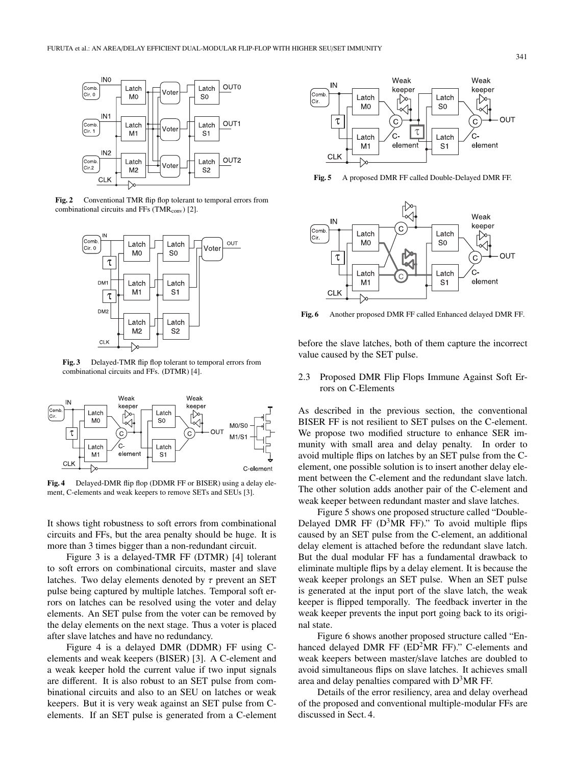

**Fig. 2** Conventional TMR flip flop tolerant to temporal errors from combinational circuits and FFs  $(TMR_{conv})$  [2].



**Fig. 3** Delayed-TMR flip flop tolerant to temporal errors from combinational circuits and FFs. (DTMR) [4].



**Fig. 4** Delayed-DMR flip flop (DDMR FF or BISER) using a delay element, C-elements and weak keepers to remove SETs and SEUs [3].

It shows tight robustness to soft errors from combinational circuits and FFs, but the area penalty should be huge. It is more than 3 times bigger than a non-redundant circuit.

Figure 3 is a delayed-TMR FF (DTMR) [4] tolerant to soft errors on combinational circuits, master and slave latches. Two delay elements denoted by  $\tau$  prevent an SET pulse being captured by multiple latches. Temporal soft errors on latches can be resolved using the voter and delay elements. An SET pulse from the voter can be removed by the delay elements on the next stage. Thus a voter is placed after slave latches and have no redundancy.

Figure 4 is a delayed DMR (DDMR) FF using Celements and weak keepers (BISER) [3]. A C-element and a weak keeper hold the current value if two input signals are different. It is also robust to an SET pulse from combinational circuits and also to an SEU on latches or weak keepers. But it is very weak against an SET pulse from Celements. If an SET pulse is generated from a C-element



**Fig. 5** A proposed DMR FF called Double-Delayed DMR FF.



**Fig. 6** Another proposed DMR FF called Enhanced delayed DMR FF.

before the slave latches, both of them capture the incorrect value caused by the SET pulse.

## 2.3 Proposed DMR Flip Flops Immune Against Soft Errors on C-Elements

As described in the previous section, the conventional BISER FF is not resilient to SET pulses on the C-element. We propose two modified structure to enhance SER immunity with small area and delay penalty. In order to avoid multiple flips on latches by an SET pulse from the Celement, one possible solution is to insert another delay element between the C-element and the redundant slave latch. The other solution adds another pair of the C-element and weak keeper between redundant master and slave latches.

Figure 5 shows one proposed structure called "Double-Delayed DMR FF  $(D^3MR$  FF)." To avoid multiple flips caused by an SET pulse from the C-element, an additional delay element is attached before the redundant slave latch. But the dual modular FF has a fundamental drawback to eliminate multiple flips by a delay element. It is because the weak keeper prolongs an SET pulse. When an SET pulse is generated at the input port of the slave latch, the weak keeper is flipped temporally. The feedback inverter in the weak keeper prevents the input port going back to its original state.

Figure 6 shows another proposed structure called "Enhanced delayed DMR FF  $(ED<sup>2</sup>MR FF)$ ." C-elements and weak keepers between master/slave latches are doubled to avoid simultaneous flips on slave latches. It achieves small area and delay penalties compared with  $D<sup>3</sup>MR$  FF.

Details of the error resiliency, area and delay overhead of the proposed and conventional multiple-modular FFs are discussed in Sect. 4.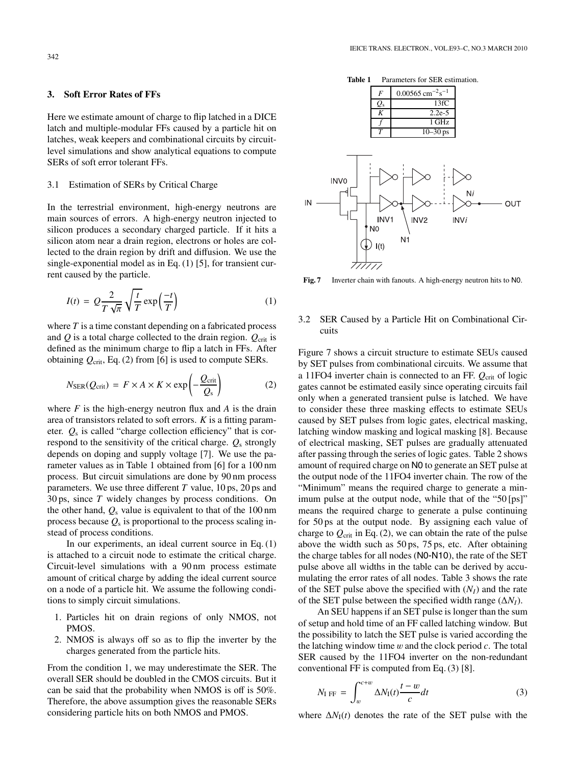## **3. Soft Error Rates of FFs**

Here we estimate amount of charge to flip latched in a DICE latch and multiple-modular FFs caused by a particle hit on latches, weak keepers and combinational circuits by circuitlevel simulations and show analytical equations to compute SERs of soft error tolerant FFs.

# 3.1 Estimation of SERs by Critical Charge

In the terrestrial environment, high-energy neutrons are main sources of errors. A high-energy neutron injected to silicon produces a secondary charged particle. If it hits a silicon atom near a drain region, electrons or holes are collected to the drain region by drift and diffusion. We use the single-exponential model as in Eq. (1) [5], for transient current caused by the particle.

$$
I(t) = Q \frac{2}{T \sqrt{\pi}} \sqrt{\frac{t}{T}} \exp\left(\frac{-t}{T}\right)
$$
 (1)

where *T* is a time constant depending on a fabricated process and  $Q$  is a total charge collected to the drain region.  $Q_{\text{crit}}$  is defined as the minimum charge to flip a latch in FFs. After obtaining  $Q_{\text{crit}}$ , Eq. (2) from [6] is used to compute SERs.

$$
N_{\text{SER}}(Q_{\text{crit}}) = F \times A \times K \times \exp\left(-\frac{Q_{\text{crit}}}{Q_{\text{s}}}\right) \tag{2}
$$

where  $F$  is the high-energy neutron flux and  $A$  is the drain area of transistors related to soft errors. *K* is a fitting parameter. *Q*<sup>s</sup> is called "charge collection efficiency" that is correspond to the sensitivity of the critical charge. *Q*<sup>s</sup> strongly depends on doping and supply voltage [7]. We use the parameter values as in Table 1 obtained from [6] for a 100 nm process. But circuit simulations are done by 90 nm process parameters. We use three different *T* value, 10 ps, 20 ps and 30 ps, since *T* widely changes by process conditions. On the other hand,  $Q_s$  value is equivalent to that of the 100 nm process because  $Q_s$  is proportional to the process scaling instead of process conditions.

In our experiments, an ideal current source in Eq. (1) is attached to a circuit node to estimate the critical charge. Circuit-level simulations with a 90 nm process estimate amount of critical charge by adding the ideal current source on a node of a particle hit. We assume the following conditions to simply circuit simulations.

- 1. Particles hit on drain regions of only NMOS, not PMOS.
- 2. NMOS is always off so as to flip the inverter by the charges generated from the particle hits.

From the condition 1, we may underestimate the SER. The overall SER should be doubled in the CMOS circuits. But it can be said that the probability when NMOS is off is 50%. Therefore, the above assumption gives the reasonable SERs considering particle hits on both NMOS and PMOS.

**Table 1** Parameters for SER estimation.



**Fig. 7** Inverter chain with fanouts. A high-energy neutron hits to N0.

# 3.2 SER Caused by a Particle Hit on Combinational Circuits

Figure 7 shows a circuit structure to estimate SEUs caused by SET pulses from combinational circuits. We assume that a 11FO4 inverter chain is connected to an FF. *Q*crit of logic gates cannot be estimated easily since operating circuits fail only when a generated transient pulse is latched. We have to consider these three masking effects to estimate SEUs caused by SET pulses from logic gates, electrical masking, latching window masking and logical masking [8]. Because of electrical masking, SET pulses are gradually attenuated after passing through the series of logic gates. Table 2 shows amount of required charge on N0 to generate an SET pulse at the output node of the 11FO4 inverter chain. The row of the "Minimum" means the required charge to generate a minimum pulse at the output node, while that of the "50 [ps]" means the required charge to generate a pulse continuing for 50 ps at the output node. By assigning each value of charge to  $Q_{\text{crit}}$  in Eq. (2), we can obtain the rate of the pulse above the width such as 50 ps, 75 ps, etc. After obtaining the charge tables for all nodes (N0-N10), the rate of the SET pulse above all widths in the table can be derived by accumulating the error rates of all nodes. Table 3 shows the rate of the SET pulse above the specified with  $(N_I)$  and the rate of the SET pulse between the specified width range  $(\Delta N_I)$ .

An SEU happens if an SET pulse is longer than the sum of setup and hold time of an FF called latching window. But the possibility to latch the SET pulse is varied according the the latching window time w and the clock period *c*. The total SER caused by the 11FO4 inverter on the non-redundant conventional FF is computed from Eq. (3) [8].

$$
N_{\text{I FF}} = \int_{w}^{c+w} \Delta N_{\text{I}}(t) \frac{t-w}{c} dt \tag{3}
$$

where  $\Delta N_I(t)$  denotes the rate of the SET pulse with the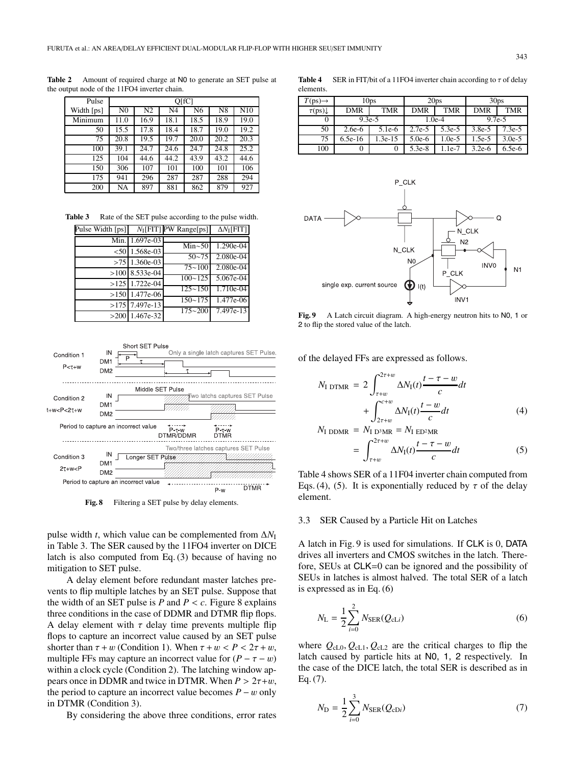**Table 2** Amount of required charge at N0 to generate an SET pulse at the output node of the 11FO4 inverter chain.

| Pulse      | Q[fC]       |      |      |      |      |      |  |  |  |  |
|------------|-------------|------|------|------|------|------|--|--|--|--|
| Width [ps] | $_{\rm N0}$ | N2   | N4   | N6   | N8   | N10  |  |  |  |  |
| Minimum    | 11.0        | 16.9 | 18.1 | 18.5 | 18.9 | 19.0 |  |  |  |  |
| 50         | 15.5        | 17.8 | 18.4 | 18.7 | 19.0 | 19.2 |  |  |  |  |
| 75         | 20.8        | 19.5 | 19.7 | 20.0 | 20.2 | 20.3 |  |  |  |  |
| 100        | 39.1        | 24.7 | 24.6 | 24.7 | 24.8 | 25.2 |  |  |  |  |
| 125        | 104         | 44.6 | 44.2 | 43.9 | 43.2 | 44.6 |  |  |  |  |
| 150        | 306         | 107  | 101  | 100  | 101  | 106  |  |  |  |  |
| 175        | 941         | 296  | 287  | 287  | 288  | 294  |  |  |  |  |
| 200        | NA          | 897  | 881  | 862  | 879  | 927  |  |  |  |  |

Table 3 Rate of the SET pulse according to the pulse width.

| Pulse Width [ps] |                  | $N_I$ [FIT] PW Range[ps]    | $\Delta N_I$ [FIT] |
|------------------|------------------|-----------------------------|--------------------|
| Min.             | 1.697e-03        |                             |                    |
| < 50             | 1.568e-03        | $\overline{\text{Min}}$ ~50 | 1.290e-04          |
|                  | $>75$ 1.360e-03  | $50 - 75$                   | 2.080e-04          |
|                  |                  | $75 - 100$                  | 2.080e-04          |
|                  | $>100$ 8.533e-04 | $100 - 125$                 | 5.067e-04          |
|                  | $>125$ 1.722e-04 | $\overline{125} \sim 150$   | 1.710e-04          |
|                  | $>150$ 1.477e-06 | $150 - 175$                 | 1.477e-06          |
|                  | $>175$ 7.497e-13 |                             |                    |
| >200             | 1.467e-32        | $175 - 200$                 | 7.497e-13          |



**Fig. 8** Filtering a SET pulse by delay elements.

pulse width *t*, which value can be complemented from  $\Delta N_I$ in Table 3. The SER caused by the 11FO4 inverter on DICE latch is also computed from Eq. (3) because of having no mitigation to SET pulse.

A delay element before redundant master latches prevents to flip multiple latches by an SET pulse. Suppose that the width of an SET pulse is  $P$  and  $P < c$ . Figure 8 explains three conditions in the case of DDMR and DTMR flip flops. A delay element with  $\tau$  delay time prevents multiple flip flops to capture an incorrect value caused by an SET pulse shorter than  $\tau + w$  (Condition 1). When  $\tau + w < P < 2\tau + w$ , multiple FFs may capture an incorrect value for  $(P - \tau - w)$ within a clock cycle (Condition 2). The latching window appears once in DDMR and twice in DTMR. When  $P > 2\tau + w$ , the period to capture an incorrect value becomes  $P - w$  only in DTMR (Condition 3).

By considering the above three conditions, error rates

**Table 4** SER in FIT/bit of a 11FO4 inverter chain according to  $\tau$  of delay elements.

| $T(ps) \rightarrow$      |                      | 10 <sub>ps</sub> | 20 <sub>ps</sub>     |          | 30 <sub>ps</sub>     |          |  |
|--------------------------|----------------------|------------------|----------------------|----------|----------------------|----------|--|
| $\tau$ (ps) $\downarrow$ | DMR<br>TMR           |                  | DMR                  | TMR      | DMR                  | TMR      |  |
|                          | $9.3e-5$             |                  |                      | $1.0e-4$ | $9.7e-5$             |          |  |
| 50                       | $2.6e-6$<br>$5.1e-6$ |                  | $2.7e-5$             | $5.3e-5$ | $3.8e-5$             | $7.3e-5$ |  |
| 75                       | 1.3e-15<br>$6.5e-16$ |                  | $5.0e-6$<br>$1.0e-5$ |          | $3.0e-5$<br>$1.5e-5$ |          |  |
| 100                      |                      |                  | $5.3e-8$             | 1.1e-7   | 3.2e-6               | $6.5e-6$ |  |



**Fig. 9** A Latch circuit diagram. A high-energy neutron hits to N0, 1 or 2 to flip the stored value of the latch.

of the delayed FFs are expressed as follows.

$$
N_{\text{I DTMR}} = 2 \int_{\tau+w}^{2\tau+w} \Delta N_{\text{I}}(t) \frac{t-\tau-w}{c} dt + \int_{2\tau+w}^{c+w} \Delta N_{\text{I}}(t) \frac{t-w}{c} dt \tag{4}
$$

$$
N_{\text{I DDMR}} = N_{\text{I D}^3 \text{MR}} = N_{\text{I ED}^2 \text{MR}} \\
= \int_{\tau+w}^{2\tau+w} \Delta N_{\text{I}}(t) \frac{t-\tau-w}{c} dt\n\tag{5}
$$

Table 4 shows SER of a 11F04 inverter chain computed from Eqs. (4), (5). It is exponentially reduced by  $\tau$  of the delay element.

#### 3.3 SER Caused by a Particle Hit on Latches

A latch in Fig. 9 is used for simulations. If CLK is 0, DATA drives all inverters and CMOS switches in the latch. Therefore, SEUs at CLK=0 can be ignored and the possibility of SEUs in latches is almost halved. The total SER of a latch is expressed as in Eq. (6)

$$
N_{\rm L} = \frac{1}{2} \sum_{i=0}^{2} N_{\rm SER}(Q_{\rm cLi})
$$
 (6)

where  $Q_{cL0}$ ,  $Q_{cL1}$ ,  $Q_{cL2}$  are the critical charges to flip the latch caused by particle hits at N0, 1, 2 respectively. In the case of the DICE latch, the total SER is described as in Eq. (7).

$$
N_{\rm D} = \frac{1}{2} \sum_{i=0}^{3} N_{\rm SER}(Q_{\rm cDi})
$$
 (7)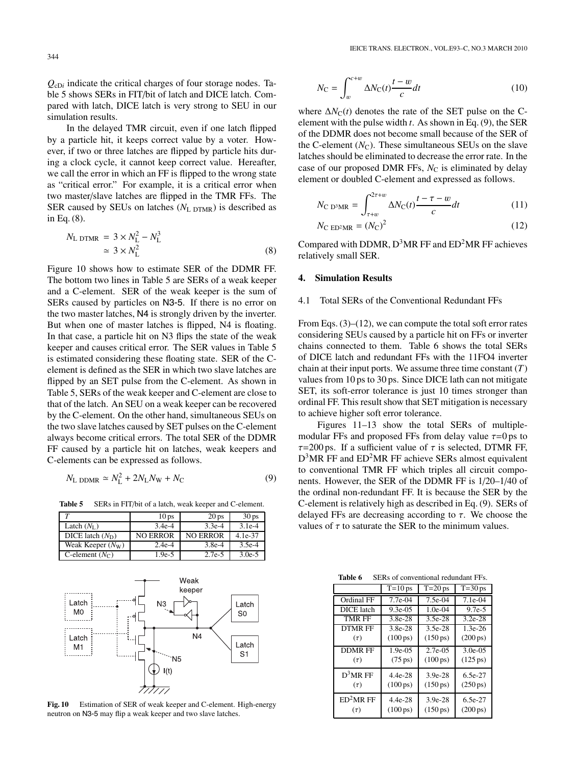IEICE TRANS. ELECTRON., VOL.E93–C, NO.3 MARCH 2010

 $Q_{cD}$ *i* indicate the critical charges of four storage nodes. Table 5 shows SERs in FIT/bit of latch and DICE latch. Compared with latch, DICE latch is very strong to SEU in our simulation results.

In the delayed TMR circuit, even if one latch flipped by a particle hit, it keeps correct value by a voter. However, if two or three latches are flipped by particle hits during a clock cycle, it cannot keep correct value. Hereafter, we call the error in which an FF is flipped to the wrong state as "critical error." For example, it is a critical error when two master/slave latches are flipped in the TMR FFs. The SER caused by SEUs on latches  $(N_{\text{L DTMR}})$  is described as in Eq. (8).

$$
N_{\text{L DTMR}} = 3 \times N_{\text{L}}^2 - N_{\text{L}}^3
$$
  
\n
$$
\approx 3 \times N_{\text{L}}^2
$$
 (8)

Figure 10 shows how to estimate SER of the DDMR FF. The bottom two lines in Table 5 are SERs of a weak keeper and a C-element. SER of the weak keeper is the sum of SERs caused by particles on N3-5. If there is no error on the two master latches, N4 is strongly driven by the inverter. But when one of master latches is flipped, N4 is floating. In that case, a particle hit on N3 flips the state of the weak keeper and causes critical error. The SER values in Table 5 is estimated considering these floating state. SER of the Celement is defined as the SER in which two slave latches are flipped by an SET pulse from the C-element. As shown in Table 5, SERs of the weak keeper and C-element are close to that of the latch. An SEU on a weak keeper can be recovered by the C-element. On the other hand, simultaneous SEUs on the two slave latches caused by SET pulses on the C-element always become critical errors. The total SER of the DDMR FF caused by a particle hit on latches, weak keepers and C-elements can be expressed as follows.

$$
N_{\rm L\;DDMR} \simeq N_{\rm L}^2 + 2N_{\rm L}N_{\rm W} + N_{\rm C} \tag{9}
$$

**Table 5** SERs in FIT/bit of a latch, weak keeper and C-element.

| $3.4e-4$<br>Latch $(N_L)$<br>$3.3e-4$<br><b>NO ERROR</b><br>DICE latch $(N_D)$<br><b>NO ERROR</b> | 30 <sub>ps</sub> | 20 <sub>ps</sub> | 10 <sub>ps</sub> | T                         |
|---------------------------------------------------------------------------------------------------|------------------|------------------|------------------|---------------------------|
|                                                                                                   | $3.1e-4$         |                  |                  |                           |
|                                                                                                   | 4.1e-37          |                  |                  |                           |
|                                                                                                   | $3.5e-4$         | $3.8e-4$         | $2.4e-4$         | Weak Keeper $(N_{\rm W})$ |
| C-element $(N_C)$<br>$1.9e-5$<br>$2.7e-5$                                                         | $3.0e-5$         |                  |                  |                           |



**Fig. 10** Estimation of SER of weak keeper and C-element. High-energy neutron on N3-5 may flip a weak keeper and two slave latches.

$$
N_{\rm C} = \int_{w}^{c+w} \Delta N_{\rm C}(t) \frac{t-w}{c} dt \tag{10}
$$

where  $\Delta N_C(t)$  denotes the rate of the SET pulse on the Celement with the pulse width *t*. As shown in Eq. (9), the SER of the DDMR does not become small because of the SER of the C-element  $(N_C)$ . These simultaneous SEUs on the slave latches should be eliminated to decrease the error rate. In the case of our proposed DMR FFs,  $N<sub>C</sub>$  is eliminated by delay element or doubled C-element and expressed as follows.

$$
N_{\rm C D^3 MR} = \int_{\tau+w}^{2\tau+w} \Delta N_{\rm C}(t) \frac{t-\tau-w}{c} dt
$$
 (11)

$$
N_{\rm C\ ED^2MR} = (N_{\rm C})^2 \tag{12}
$$

Compared with DDMR,  $D^3MR$  FF and ED<sup>2</sup>MR FF achieves relatively small SER.

## **4. Simulation Results**

### 4.1 Total SERs of the Conventional Redundant FFs

From Eqs. (3)–(12), we can compute the total soft error rates considering SEUs caused by a particle hit on FFs or inverter chains connected to them. Table 6 shows the total SERs of DICE latch and redundant FFs with the 11FO4 inverter chain at their input ports. We assume three time constant  $(T)$ values from 10 ps to 30 ps. Since DICE lath can not mitigate SET, its soft-error tolerance is just 10 times stronger than ordinal FF. This result show that SET mitigation is necessary to achieve higher soft error tolerance.

Figures 11–13 show the total SERs of multiplemodular FFs and proposed FFs from delay value  $\tau=0$  ps to  $\tau$ =200 ps. If a sufficient value of  $\tau$  is selected, DTMR FF,  $D<sup>3</sup>MR$  FF and ED<sup>2</sup>MR FF achieve SERs almost equivalent to conventional TMR FF which triples all circuit components. However, the SER of the DDMR FF is 1/20–1/40 of the ordinal non-redundant FF. It is because the SER by the C-element is relatively high as described in Eq. (9). SERs of delayed FFs are decreasing according to  $\tau$ . We choose the values of  $\tau$  to saturate the SER to the minimum values.

**Table 6** SERs of conventional redundant FFs.

|                       | $T=10$ ps           | $T=20$ ps           | $T=30$ ps           |
|-----------------------|---------------------|---------------------|---------------------|
| Ordinal FF            | 7.7e-04             | 7.5e-04             | $7.1e-04$           |
| DICE latch            | $9.3e-0.5$          | $1.0e-04$           | $9.7e-5$            |
| TMR FF                | $3.8e-28$           | $3.5e-28$           | $3.2e-28$           |
| <b>DTMR FF</b>        | $3.8e-28$           | $3.5e-28$           | $1.3e-26$           |
| $(\tau)$              | $(100 \,\text{ps})$ | $(150 \,\text{ps})$ | $(200 \,\text{ps})$ |
| <b>DDMR FF</b>        | $1.9e-0.5$          | $2.7e-0.5$          | $3.0e-0.5$          |
| $(\tau)$              | $(75 \,\text{ps})$  | $(100 \,\text{ps})$ | $(125 \,\text{ps})$ |
| $D^3MR$ FF            | $4.4e-28$           | $3.9e-28$           | $6.5e-27$           |
| $(\tau)$              | $(100 \text{ ps})$  | $(150 \,\text{ps})$ | $(250 \,\text{ps})$ |
| ED <sup>2</sup> MR FF | $4.4e-28$           | $3.9e-28$           | $6.5e-27$           |
| $(\tau)$              | $(100 \,\text{ps})$ | $(150 \,\text{ps})$ | $(200 \text{ ps})$  |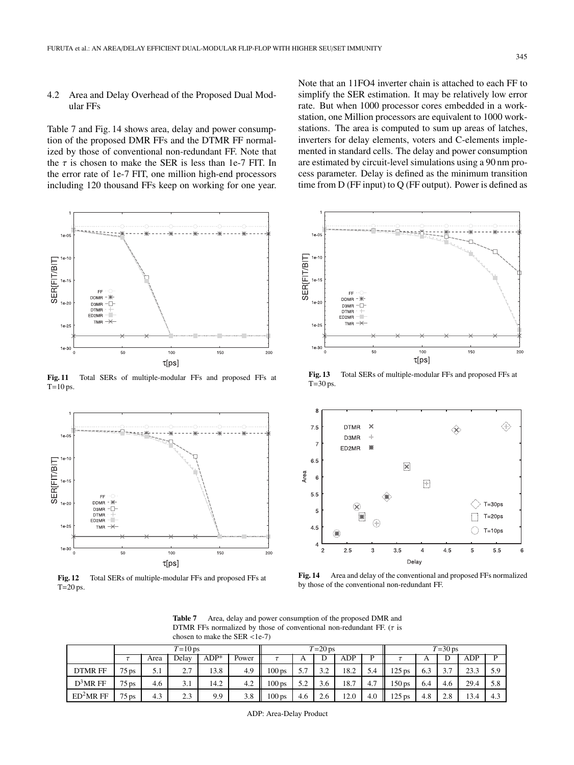## 4.2 Area and Delay Overhead of the Proposed Dual Modular FFs

Table 7 and Fig. 14 shows area, delay and power consumption of the proposed DMR FFs and the DTMR FF normalized by those of conventional non-redundant FF. Note that the  $\tau$  is chosen to make the SER is less than 1e-7 FIT. In the error rate of 1e-7 FIT, one million high-end processors including 120 thousand FFs keep on working for one year.



**Fig. 11** Total SERs of multiple-modular FFs and proposed FFs at  $T=10$  ps.



**Fig. 12** Total SERs of multiple-modular FFs and proposed FFs at  $T=20$  ps.

Note that an 11FO4 inverter chain is attached to each FF to simplify the SER estimation. It may be relatively low error rate. But when 1000 processor cores embedded in a workstation, one Million processors are equivalent to 1000 workstations. The area is computed to sum up areas of latches, inverters for delay elements, voters and C-elements implemented in standard cells. The delay and power consumption are estimated by circuit-level simulations using a 90 nm process parameter. Delay is defined as the minimum transition time from D (FF input) to Q (FF output). Power is defined as



**Fig. 13** Total SERs of multiple-modular FFs and proposed FFs at  $T=30$  ps.



**Fig. 14** Area and delay of the conventional and proposed FFs normalized by those of the conventional non-redundant FF.

**Table 7** Area, delay and power consumption of the proposed DMR and DTMR FFs normalized by those of conventional non-redundant FF.  $(\tau)$  is chosen to make the SER  $\langle$ 1e-7)

|                       | $T = 10$ ps |      |       | $T=20$ ps |       |                     |     | $T=30$ ps |      |     |                     |     |     |      |     |
|-----------------------|-------------|------|-------|-----------|-------|---------------------|-----|-----------|------|-----|---------------------|-----|-----|------|-----|
|                       |             | Area | Delay | $ADP*$    | Power |                     | A   | D         | ADP  | D   |                     | A   | D   | ADP  |     |
| <b>DTMR FF</b>        | $75$ ps     | 5.1  | 2.7   | 13.8      | 4.9   | $100 \,\mathrm{ps}$ | 5.7 | 32<br>ے . | 18.2 | 5.4 | $125$ ps            | 6.3 | 37  | 23.3 | 5.9 |
| $D^3MR$ FF            | $75$ ps     | 4.6  | 3.1   | 14.2      | 4.2   | $100 \text{ ps}$    | 5.2 | 3.6       | 18.7 | 4.7 | $150 \,\mathrm{ps}$ | 6.4 | 4.6 | 29.4 | 5.8 |
| ED <sup>2</sup> MR FF | $75$ ps     | 4.3  | 2.3   | 9.9       | 3.8   | $100 \,\text{ps}$   | 4.6 | 2.6       | 12.0 | 4.0 | $125$ ps            | 4.8 | 2.8 | 13.4 | 4.3 |

ADP: Area-Delay Product